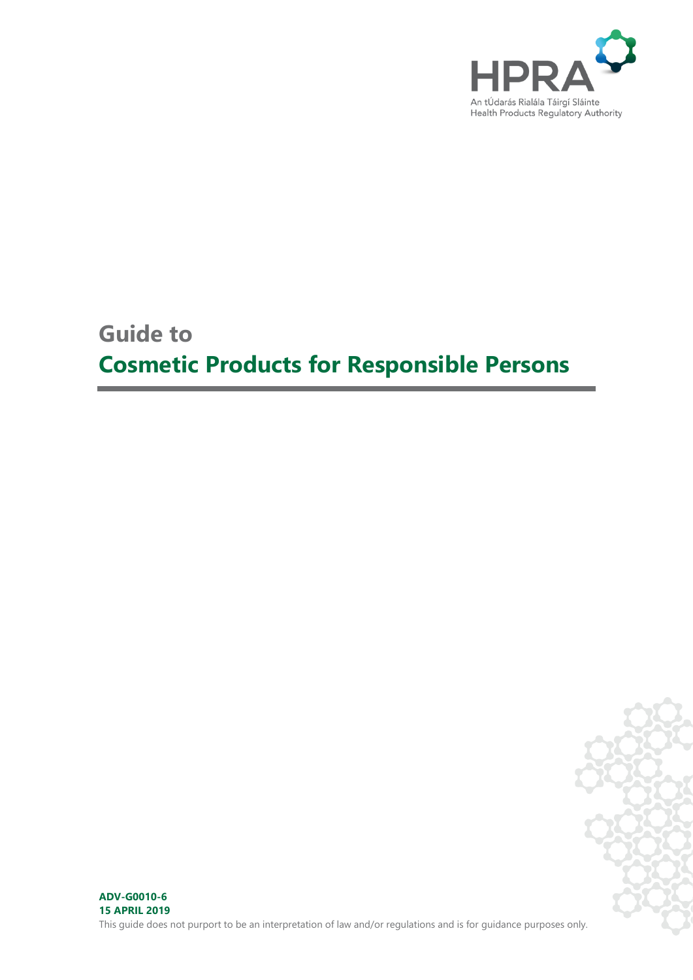

## **Guide to**

# **Cosmetic Products for Responsible Persons**

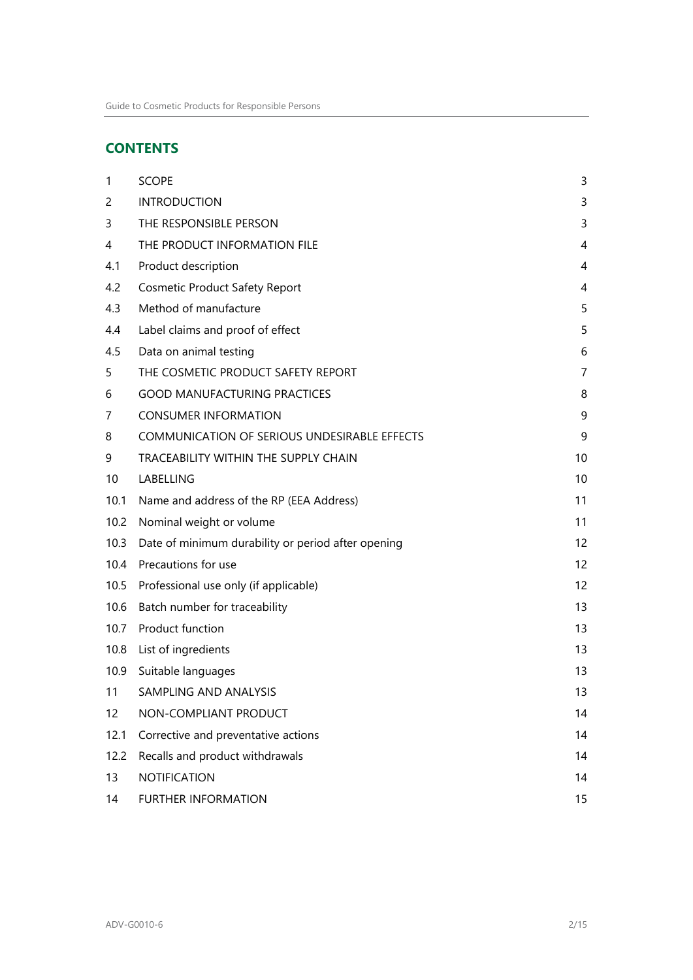### **CONTENTS**

| $\mathbf{1}$ | <b>SCOPE</b>                                       | 3  |
|--------------|----------------------------------------------------|----|
| 2            | <b>INTRODUCTION</b>                                | 3  |
| 3            | THE RESPONSIBLE PERSON                             | 3  |
| 4            | THE PRODUCT INFORMATION FILE                       | 4  |
| 4.1          | Product description                                | 4  |
| 4.2          | <b>Cosmetic Product Safety Report</b>              | 4  |
| 4.3          | Method of manufacture                              | 5  |
| 4.4          | Label claims and proof of effect                   | 5  |
| 4.5          | Data on animal testing                             | 6  |
| 5            | THE COSMETIC PRODUCT SAFETY REPORT                 | 7  |
| 6            | <b>GOOD MANUFACTURING PRACTICES</b>                | 8  |
| 7            | <b>CONSUMER INFORMATION</b>                        | 9  |
| 8            | COMMUNICATION OF SERIOUS UNDESIRABLE EFFECTS       | 9  |
| 9            | TRACEABILITY WITHIN THE SUPPLY CHAIN               | 10 |
| 10           | LABELLING                                          | 10 |
| 10.1         | Name and address of the RP (EEA Address)           | 11 |
| 10.2         | Nominal weight or volume                           | 11 |
| 10.3         | Date of minimum durability or period after opening | 12 |
| 10.4         | Precautions for use                                | 12 |
| 10.5         | Professional use only (if applicable)              | 12 |
| 10.6         | Batch number for traceability                      | 13 |
| 10.7         | Product function                                   | 13 |
| 10.8         | List of ingredients                                | 13 |
| 10.9         | Suitable languages                                 | 13 |
| 11           | SAMPLING AND ANALYSIS                              | 13 |
| 12           | NON-COMPLIANT PRODUCT                              | 14 |
| 12.1         | Corrective and preventative actions                | 14 |
| 12.2         | Recalls and product withdrawals                    | 14 |
| 13           | NOTIFICATION                                       | 14 |
| 14           | <b>FURTHER INFORMATION</b>                         | 15 |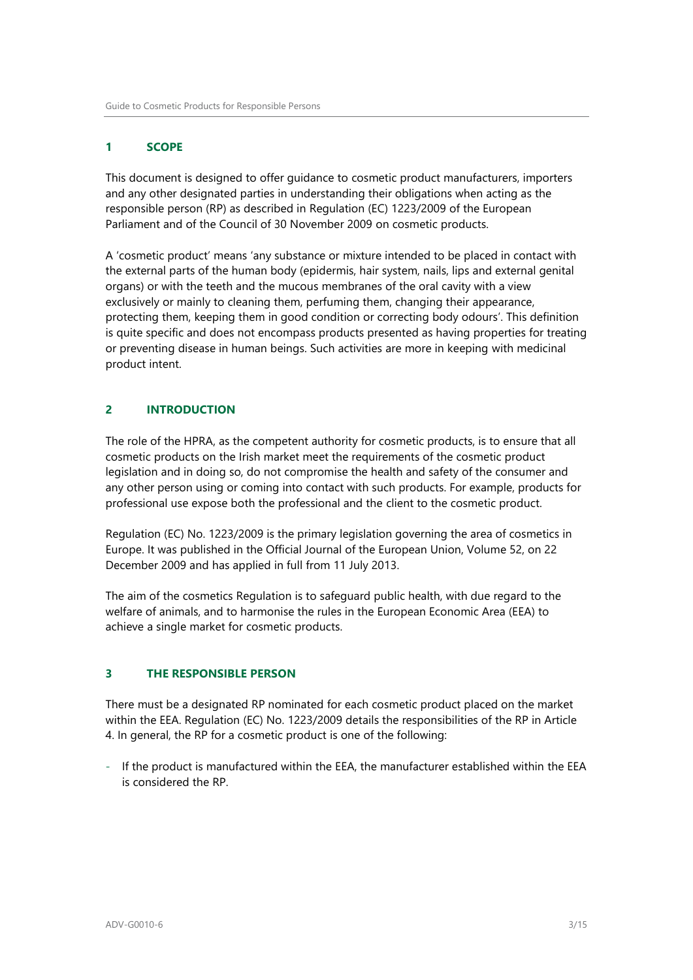#### <span id="page-2-0"></span>**1 SCOPE**

This document is designed to offer guidance to cosmetic product manufacturers, importers and any other designated parties in understanding their obligations when acting as the responsible person (RP) as described in Regulation (EC) 1223/2009 of the European Parliament and of the Council of 30 November 2009 on cosmetic products.

A 'cosmetic product' means 'any substance or mixture intended to be placed in contact with the external parts of the human body (epidermis, hair system, nails, lips and external genital organs) or with the teeth and the mucous membranes of the oral cavity with a view exclusively or mainly to cleaning them, perfuming them, changing their appearance, protecting them, keeping them in good condition or correcting body odours'. This definition is quite specific and does not encompass products presented as having properties for treating or preventing disease in human beings. Such activities are more in keeping with medicinal product intent.

#### <span id="page-2-1"></span>**2 INTRODUCTION**

The role of the HPRA, as the competent authority for cosmetic products, is to ensure that all cosmetic products on the Irish market meet the requirements of the cosmetic product legislation and in doing so, do not compromise the health and safety of the consumer and any other person using or coming into contact with such products. For example, products for professional use expose both the professional and the client to the cosmetic product.

Regulation (EC) No. 1223/2009 is the primary legislation governing the area of cosmetics in Europe. It was published in the Official Journal of the European Union, Volume 52, on 22 December 2009 and has applied in full from 11 July 2013.

The aim of the cosmetics Regulation is to safeguard public health, with due regard to the welfare of animals, and to harmonise the rules in the European Economic Area (EEA) to achieve a single market for cosmetic products.

#### <span id="page-2-2"></span>**3 THE RESPONSIBLE PERSON**

There must be a designated RP nominated for each cosmetic product placed on the market within the EEA. Regulation (EC) No. 1223/2009 details the responsibilities of the RP in Article 4. In general, the RP for a cosmetic product is one of the following:

- If the product is manufactured within the EEA, the manufacturer established within the EEA is considered the RP.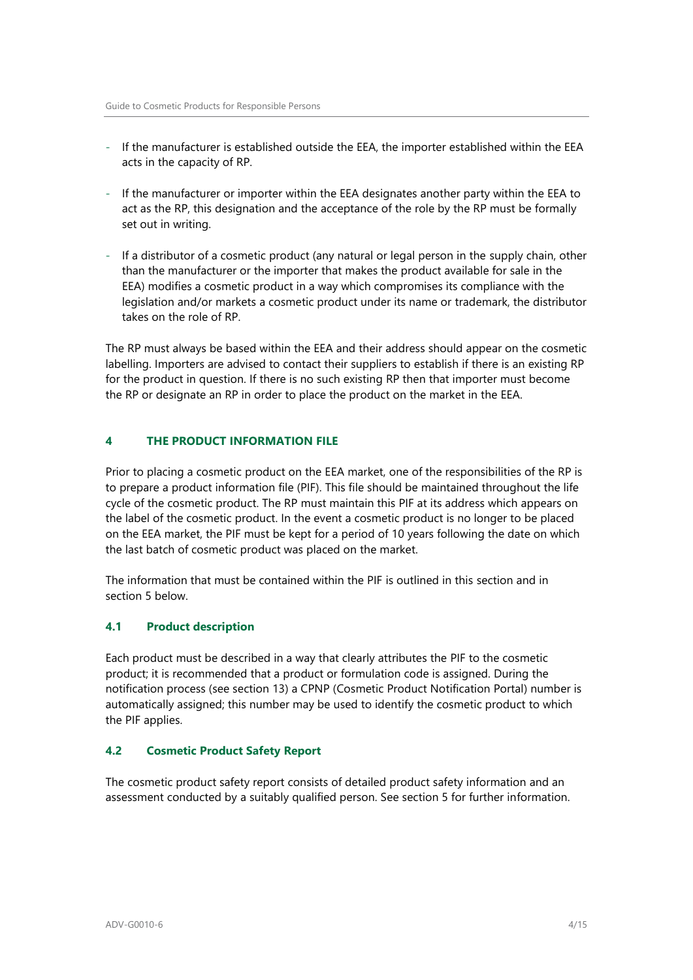- If the manufacturer is established outside the EEA, the importer established within the EEA acts in the capacity of RP.
- If the manufacturer or importer within the EEA designates another party within the EEA to act as the RP, this designation and the acceptance of the role by the RP must be formally set out in writing.
- If a distributor of a cosmetic product (any natural or legal person in the supply chain, other than the manufacturer or the importer that makes the product available for sale in the EEA) modifies a cosmetic product in a way which compromises its compliance with the legislation and/or markets a cosmetic product under its name or trademark, the distributor takes on the role of RP.

The RP must always be based within the EEA and their address should appear on the cosmetic labelling. Importers are advised to contact their suppliers to establish if there is an existing RP for the product in question. If there is no such existing RP then that importer must become the RP or designate an RP in order to place the product on the market in the EEA.

#### <span id="page-3-0"></span>**4 THE PRODUCT INFORMATION FILE**

Prior to placing a cosmetic product on the EEA market, one of the responsibilities of the RP is to prepare a product information file (PIF). This file should be maintained throughout the life cycle of the cosmetic product. The RP must maintain this PIF at its address which appears on the label of the cosmetic product. In the event a cosmetic product is no longer to be placed on the EEA market, the PIF must be kept for a period of 10 years following the date on which the last batch of cosmetic product was placed on the market.

The information that must be contained within the PIF is outlined in this section and in section 5 below.

#### <span id="page-3-1"></span>**4.1 Product description**

Each product must be described in a way that clearly attributes the PIF to the cosmetic product; it is recommended that a product or formulation code is assigned. During the notification process (see section 13) a CPNP (Cosmetic Product Notification Portal) number is automatically assigned; this number may be used to identify the cosmetic product to which the PIF applies.

#### <span id="page-3-2"></span>**4.2 Cosmetic Product Safety Report**

The cosmetic product safety report consists of detailed product safety information and an assessment conducted by a suitably qualified person. See section 5 for further information.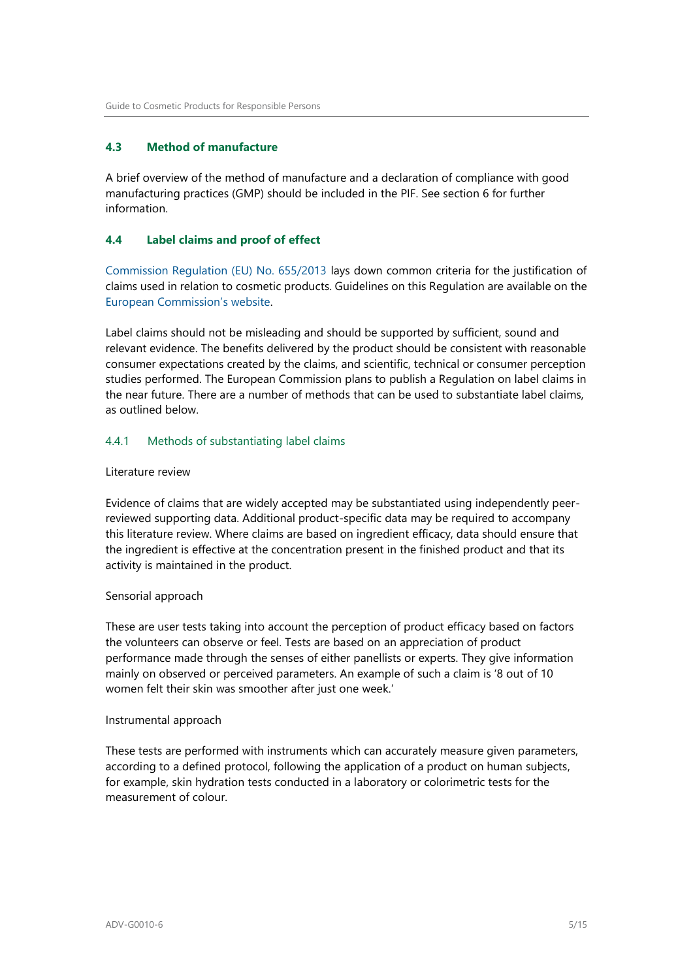#### <span id="page-4-0"></span>**4.3 Method of manufacture**

A brief overview of the method of manufacture and a declaration of compliance with good manufacturing practices (GMP) should be included in the PIF. See section 6 for further information.

#### <span id="page-4-1"></span>**4.4 Label claims and proof of effect**

[Commission Regulation \(EU\) No. 655/2013](http://eur-lex.europa.eu/LexUriServ/LexUriServ.do?uri=OJ:L:2013:190:0031:0034:EN:PDF) lays down common criteria for the justification of claims used in relation to cosmetic products. Guidelines on this Regulation are available on the [European Commission's website](http://ec.europa.eu/consumers/sectors/cosmetics/regulatory-framework/index_en.htm).

Label claims should not be misleading and should be supported by sufficient, sound and relevant evidence. The benefits delivered by the product should be consistent with reasonable consumer expectations created by the claims, and scientific, technical or consumer perception studies performed. The European Commission plans to publish a Regulation on label claims in the near future. There are a number of methods that can be used to substantiate label claims, as outlined below.

#### 4.4.1 Methods of substantiating label claims

#### Literature review

Evidence of claims that are widely accepted may be substantiated using independently peerreviewed supporting data. Additional product-specific data may be required to accompany this literature review. Where claims are based on ingredient efficacy, data should ensure that the ingredient is effective at the concentration present in the finished product and that its activity is maintained in the product.

#### Sensorial approach

These are user tests taking into account the perception of product efficacy based on factors the volunteers can observe or feel. Tests are based on an appreciation of product performance made through the senses of either panellists or experts. They give information mainly on observed or perceived parameters. An example of such a claim is '8 out of 10 women felt their skin was smoother after just one week.'

#### Instrumental approach

These tests are performed with instruments which can accurately measure given parameters, according to a defined protocol, following the application of a product on human subjects, for example, skin hydration tests conducted in a laboratory or colorimetric tests for the measurement of colour.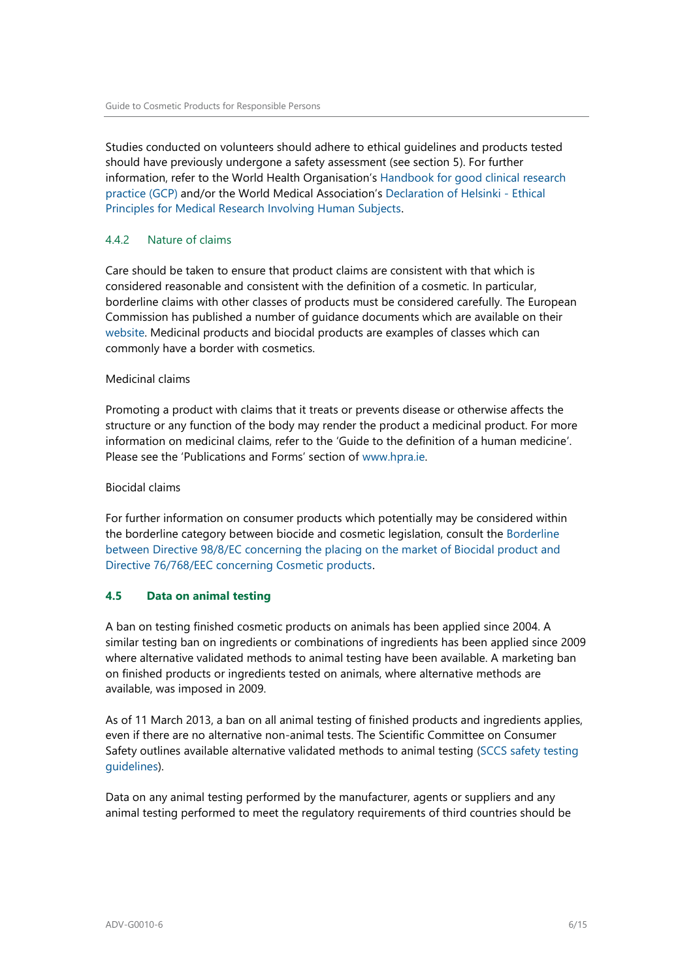Studies conducted on volunteers should adhere to ethical guidelines and products tested should have previously undergone a safety assessment (see section 5). For further information, refer to the World Health Organisation's [Handbook for good clinical research](http://whqlibdoc.who.int/publications/2005/924159392X_eng.pdf)  [practice \(GCP\)](http://whqlibdoc.who.int/publications/2005/924159392X_eng.pdf) and/or the World Medical Association's [Declaration of Helsinki -](https://www.wma.net/policies-post/wma-declaration-of-helsinki-ethical-principles-for-medical-research-involving-human-subjects/) Ethical [Principles for Medical Research Involving Human Subjects](https://www.wma.net/policies-post/wma-declaration-of-helsinki-ethical-principles-for-medical-research-involving-human-subjects/).

#### 4.4.2 Nature of claims

Care should be taken to ensure that product claims are consistent with that which is considered reasonable and consistent with the definition of a cosmetic. In particular, borderline claims with other classes of products must be considered carefully. The European Commission has published a number of guidance documents which are available on their [website.](http://ec.europa.eu/consumers/sectors/cosmetics/cosmetic-products/borderline-products/index_en.htm) Medicinal products and biocidal products are examples of classes which can commonly have a border with cosmetics.

#### Medicinal claims

Promoting a product with claims that it treats or prevents disease or otherwise affects the structure or any function of the body may render the product a medicinal product. For more information on medicinal claims, refer to the 'Guide to the definition of a human medicine'. Please see the 'Publications and Forms' section of [www.hpra.ie.](http://www.hpra.ie/)

#### Biocidal claims

For further information on consumer products which potentially may be considered within the borderline category between biocide and cosmetic legislation, consult the [Borderline](http://ec.europa.eu/consumers/sectors/cosmetics/cosmetic-products/borderline-products/index_en.htm)  [between Directive 98/8/EC concerning the placing on the market of Biocidal product and](http://ec.europa.eu/consumers/sectors/cosmetics/cosmetic-products/borderline-products/index_en.htm)  [Directive 76/768/EEC concerning Cosmetic products](http://ec.europa.eu/consumers/sectors/cosmetics/cosmetic-products/borderline-products/index_en.htm).

#### <span id="page-5-0"></span>**4.5 Data on animal testing**

A ban on testing finished cosmetic products on animals has been applied since 2004. A similar testing ban on ingredients or combinations of ingredients has been applied since 2009 where alternative validated methods to animal testing have been available. A marketing ban on finished products or ingredients tested on animals, where alternative methods are available, was imposed in 2009.

As of 11 March 2013, a ban on all animal testing of finished products and ingredients applies, even if there are no alternative non-animal tests. The Scientific Committee on Consumer Safety outlines available alternative validated methods to animal testing [\(SCCS safety testing](http://ec.europa.eu/health/scientific_committees/consumer_safety/statements/index_en.htm)  [guidelines\)](http://ec.europa.eu/health/scientific_committees/consumer_safety/statements/index_en.htm).

Data on any animal testing performed by the manufacturer, agents or suppliers and any animal testing performed to meet the regulatory requirements of third countries should be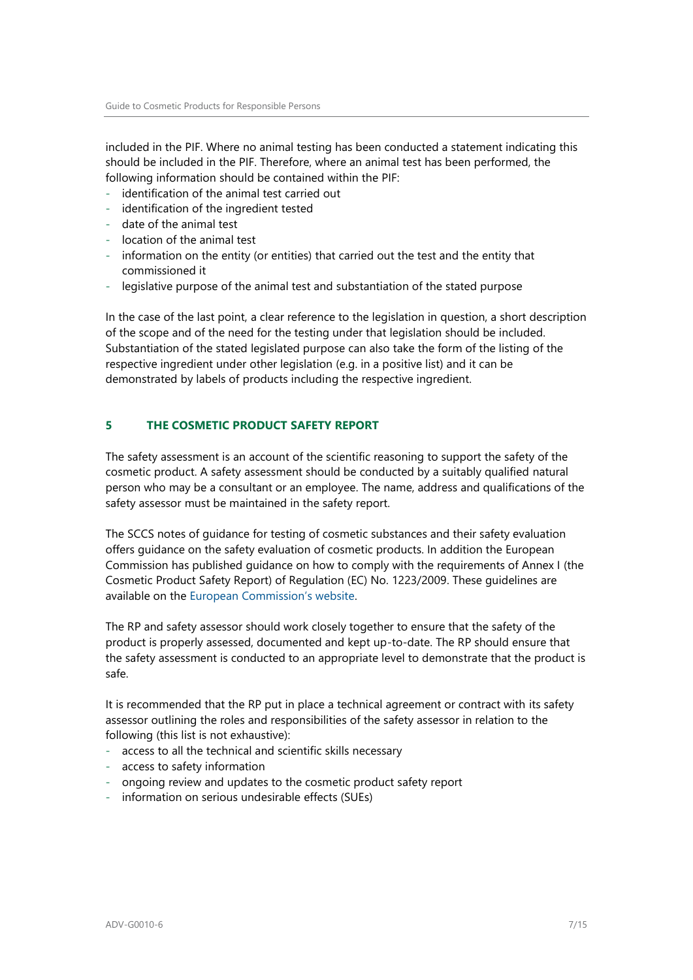included in the PIF. Where no animal testing has been conducted a statement indicating this should be included in the PIF. Therefore, where an animal test has been performed, the following information should be contained within the PIF:

- identification of the animal test carried out
- identification of the ingredient tested
- date of the animal test
- location of the animal test
- information on the entity (or entities) that carried out the test and the entity that commissioned it
- legislative purpose of the animal test and substantiation of the stated purpose

In the case of the last point, a clear reference to the legislation in question, a short description of the scope and of the need for the testing under that legislation should be included. Substantiation of the stated legislated purpose can also take the form of the listing of the respective ingredient under other legislation (e.g. in a positive list) and it can be demonstrated by labels of products including the respective ingredient.

#### <span id="page-6-0"></span>**5 THE COSMETIC PRODUCT SAFETY REPORT**

The safety assessment is an account of the scientific reasoning to support the safety of the cosmetic product. A safety assessment should be conducted by a suitably qualified natural person who may be a consultant or an employee. The name, address and qualifications of the safety assessor must be maintained in the safety report.

The SCCS notes of guidance for testing of cosmetic substances and their safety evaluation offers guidance on the safety evaluation of cosmetic products. In addition the European Commission has published guidance on how to comply with the requirements of Annex I (the Cosmetic Product Safety Report) of Regulation (EC) No. 1223/2009. These guidelines are available on the [European Commission's website](http://eur-lex.europa.eu/legal-content/EN/TXT/PDF/?uri=CELEX:32013D0674&qid=1395764232390&from=FR).

The RP and safety assessor should work closely together to ensure that the safety of the product is properly assessed, documented and kept up-to-date. The RP should ensure that the safety assessment is conducted to an appropriate level to demonstrate that the product is safe.

It is recommended that the RP put in place a technical agreement or contract with its safety assessor outlining the roles and responsibilities of the safety assessor in relation to the following (this list is not exhaustive):

- access to all the technical and scientific skills necessary
- access to safety information
- ongoing review and updates to the cosmetic product safety report
- information on serious undesirable effects (SUEs)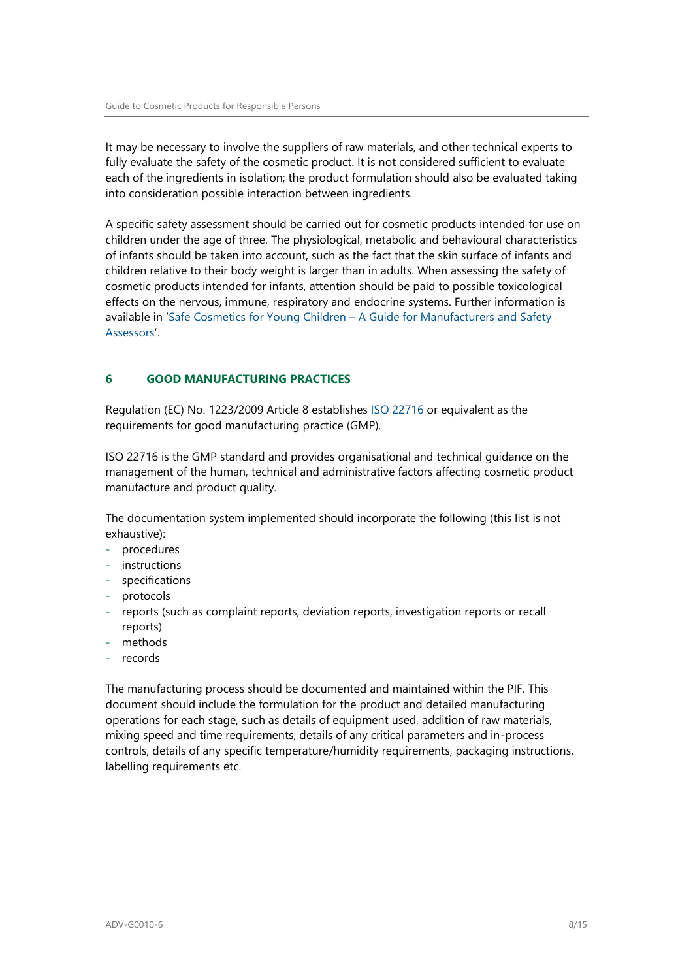It may be necessary to involve the suppliers of raw materials, and other technical experts to fully evaluate the safety of the cosmetic product. It is not considered sufficient to evaluate each of the ingredients in isolation; the product formulation should also be evaluated taking into consideration possible interaction between ingredients.

A specific safety assessment should be carried out for cosmetic products intended for use on children under the age of three. The physiological, metabolic and behavioural characteristics of infants should be taken into account, such as the fact that the skin surface of infants and children relative to their body weight is larger than in adults. When assessing the safety of cosmetic products intended for infants, attention should be paid to possible toxicological effects on the nervous, immune, respiratory and endocrine systems. Further information is available in 'Safe Cosmetics for Young Children – [A Guide for Manufacturers and Safety](http://chp.edqm.eu/Cosmetics/)  [Assessors](http://chp.edqm.eu/Cosmetics/)'.

#### <span id="page-7-0"></span>**6 GOOD MANUFACTURING PRACTICES**

Regulation (EC) No. 1223/2009 Article 8 establishes [ISO 22716](http://www.iso.org/iso/catalogue_detail?csnumber=36437) or equivalent as the requirements for good manufacturing practice (GMP).

[ISO 22716](http://www.iso.org/iso/catalogue_detail?csnumber=36437) is the GMP standard and provides organisational and technical guidance on the management of the human, technical and administrative factors affecting cosmetic product manufacture and product quality.

The documentation system implemented should incorporate the following (this list is not exhaustive):

- procedures
- instructions
- specifications
- protocols
- reports (such as complaint reports, deviation reports, investigation reports or recall reports)
- methods
- records

The manufacturing process should be documented and maintained within the PIF. This document should include the formulation for the product and detailed manufacturing operations for each stage, such as details of equipment used, addition of raw materials, mixing speed and time requirements, details of any critical parameters and in-process controls, details of any specific temperature/humidity requirements, packaging instructions, labelling requirements etc.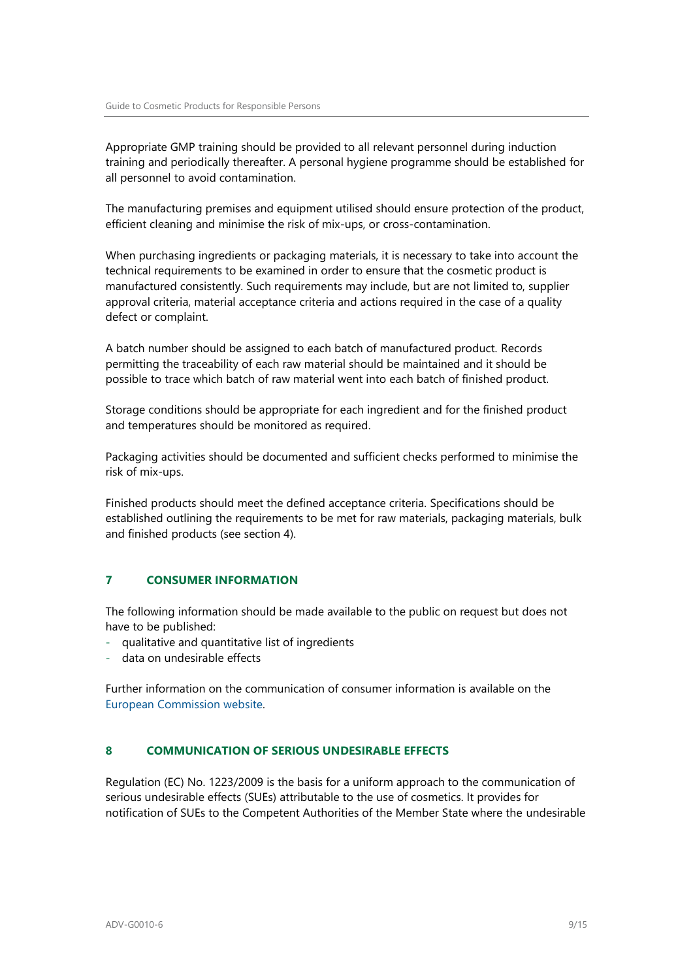Appropriate GMP training should be provided to all relevant personnel during induction training and periodically thereafter. A personal hygiene programme should be established for all personnel to avoid contamination.

The manufacturing premises and equipment utilised should ensure protection of the product, efficient cleaning and minimise the risk of mix-ups, or cross-contamination.

When purchasing ingredients or packaging materials, it is necessary to take into account the technical requirements to be examined in order to ensure that the cosmetic product is manufactured consistently. Such requirements may include, but are not limited to, supplier approval criteria, material acceptance criteria and actions required in the case of a quality defect or complaint.

A batch number should be assigned to each batch of manufactured product. Records permitting the traceability of each raw material should be maintained and it should be possible to trace which batch of raw material went into each batch of finished product.

Storage conditions should be appropriate for each ingredient and for the finished product and temperatures should be monitored as required.

Packaging activities should be documented and sufficient checks performed to minimise the risk of mix-ups.

Finished products should meet the defined acceptance criteria. Specifications should be established outlining the requirements to be met for raw materials, packaging materials, bulk and finished products (see section 4).

#### <span id="page-8-0"></span>**7 CONSUMER INFORMATION**

The following information should be made available to the public on request but does not have to be published:

- qualitative and quantitative list of ingredients
- data on undesirable effects

Further information on the communication of consumer information is available on the [European Commission website.](http://ec.europa.eu/consumers/sectors/cosmetics/files/doc/guide_access_info_en.pdf)

#### <span id="page-8-1"></span>**8 COMMUNICATION OF SERIOUS UNDESIRABLE EFFECTS**

Regulation (EC) No. 1223/2009 is the basis for a uniform approach to the communication of serious undesirable effects (SUEs) attributable to the use of cosmetics. It provides for notification of SUEs to the Competent Authorities of the Member State where the undesirable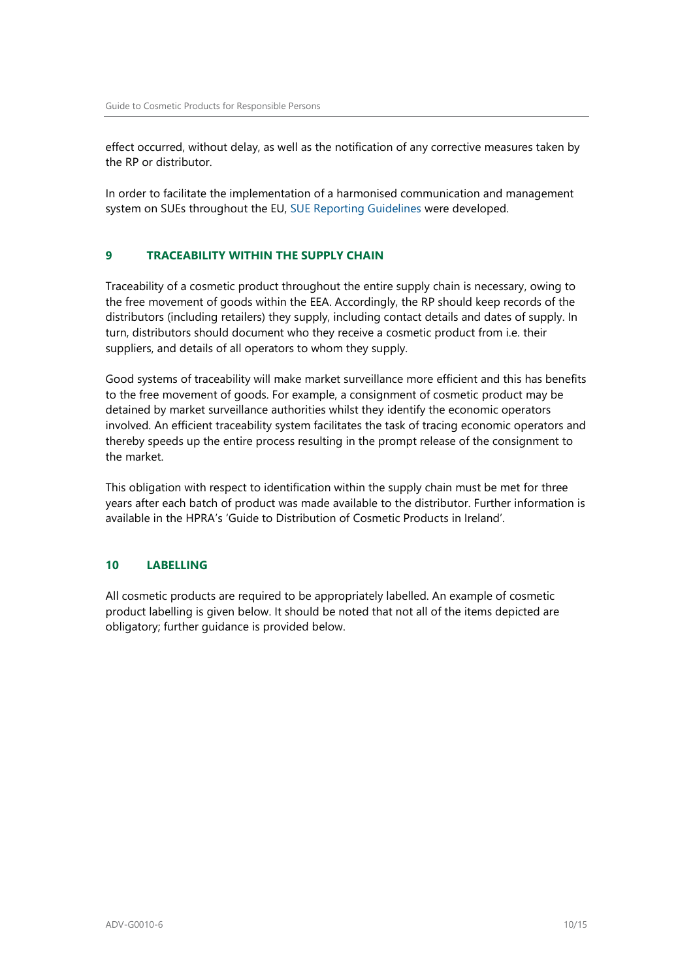effect occurred, without delay, as well as the notification of any corrective measures taken by the RP or distributor.

In order to facilitate the implementation of a harmonised communication and management system on SUEs throughout the EU, [SUE Reporting Guidelines](http://ec.europa.eu/consumers/sectors/cosmetics/files/pdf/sue_reporting_guidelines_en.pdf) were developed.

#### <span id="page-9-0"></span>**9 TRACEABILITY WITHIN THE SUPPLY CHAIN**

Traceability of a cosmetic product throughout the entire supply chain is necessary, owing to the free movement of goods within the EEA. Accordingly, the RP should keep records of the distributors (including retailers) they supply, including contact details and dates of supply. In turn, distributors should document who they receive a cosmetic product from i.e. their suppliers, and details of all operators to whom they supply.

Good systems of traceability will make market surveillance more efficient and this has benefits to the free movement of goods. For example, a consignment of cosmetic product may be detained by market surveillance authorities whilst they identify the economic operators involved. An efficient traceability system facilitates the task of tracing economic operators and thereby speeds up the entire process resulting in the prompt release of the consignment to the market.

This obligation with respect to identification within the supply chain must be met for three years after each batch of product was made available to the distributor. Further information is available in the HPRA's 'Guide to Distribution of Cosmetic Products in Ireland'.

#### <span id="page-9-1"></span>**10 LABELLING**

All cosmetic products are required to be appropriately labelled. An example of cosmetic product labelling is given below. It should be noted that not all of the items depicted are obligatory; further guidance is provided below.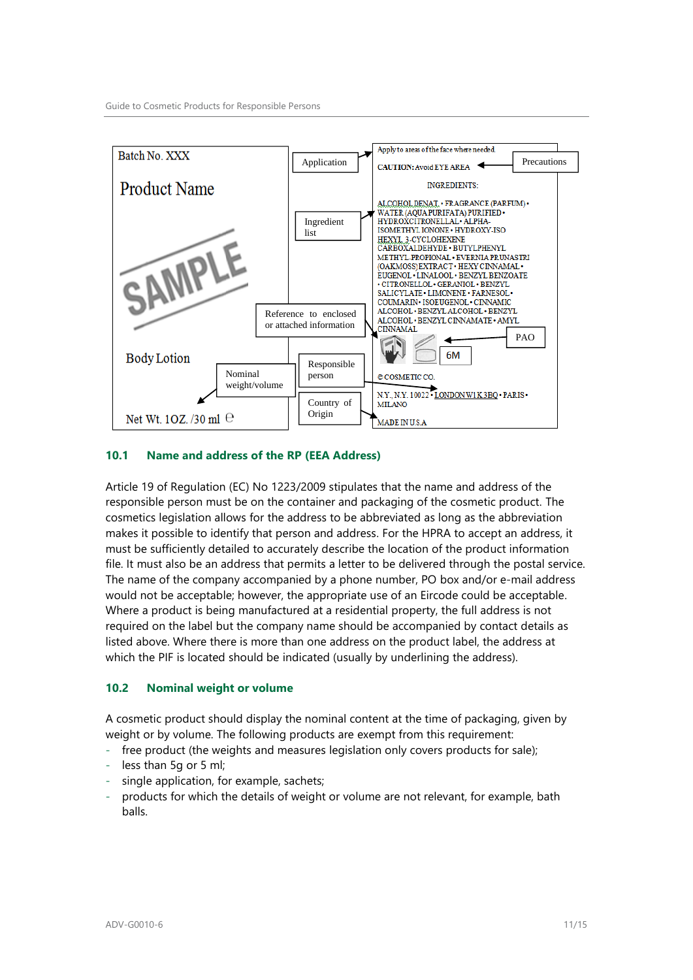

#### <span id="page-10-0"></span>**10.1 Name and address of the RP (EEA Address)**

Article 19 of Regulation (EC) No 1223/2009 stipulates that the name and address of the responsible person must be on the container and packaging of the cosmetic product. The cosmetics legislation allows for the address to be abbreviated as long as the abbreviation makes it possible to identify that person and address. For the HPRA to accept an address, it must be sufficiently detailed to accurately describe the location of the product information file. It must also be an address that permits a letter to be delivered through the postal service. The name of the company accompanied by a phone number, PO box and/or e-mail address would not be acceptable; however, the appropriate use of an Eircode could be acceptable. Where a product is being manufactured at a residential property, the full address is not required on the label but the company name should be accompanied by contact details as listed above. Where there is more than one address on the product label, the address at which the PIF is located should be indicated (usually by underlining the address).

#### <span id="page-10-1"></span>**10.2 Nominal weight or volume**

A cosmetic product should display the nominal content at the time of packaging, given by weight or by volume. The following products are exempt from this requirement:

- free product (the weights and measures legislation only covers products for sale);
- less than 5g or 5 ml;
- single application, for example, sachets;
- products for which the details of weight or volume are not relevant, for example, bath balls.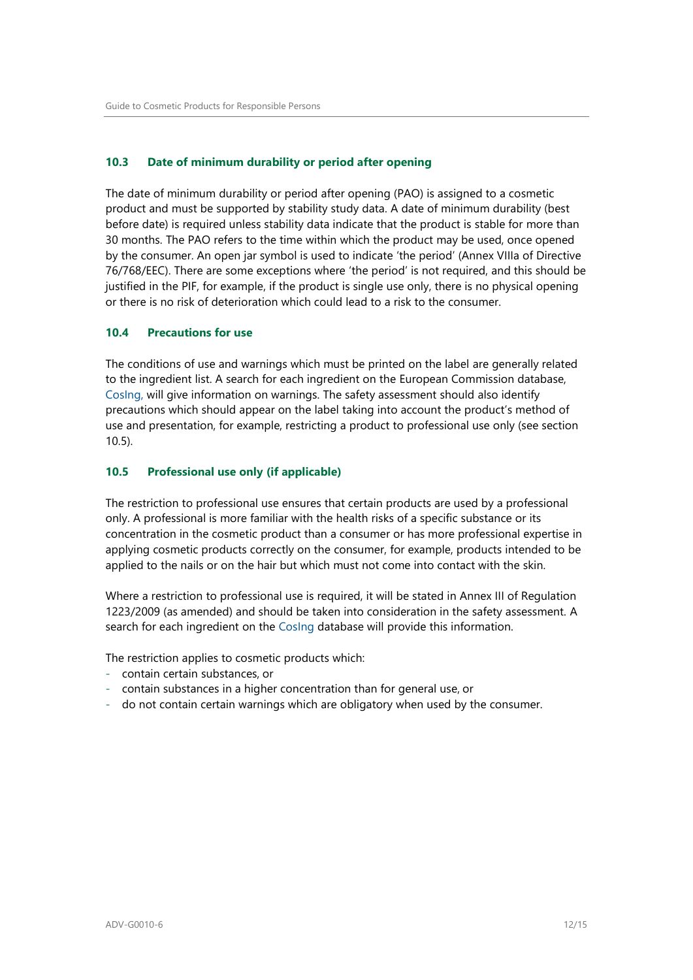#### <span id="page-11-0"></span>**10.3 Date of minimum durability or period after opening**

The date of minimum durability or period after opening (PAO) is assigned to a cosmetic product and must be supported by stability study data. A date of minimum durability (best before date) is required unless stability data indicate that the product is stable for more than 30 months. The PAO refers to the time within which the product may be used, once opened by the consumer. An open jar symbol is used to indicate 'the period' (Annex VIIIa of Directive 76/768/EEC). There are some exceptions where 'the period' is not required, and this should be justified in the PIF, for example, if the product is single use only, there is no physical opening or there is no risk of deterioration which could lead to a risk to the consumer.

#### <span id="page-11-1"></span>**10.4 Precautions for use**

The conditions of use and warnings which must be printed on the label are generally related to the ingredient list. A search for each ingredient on the European Commission database, [CosIng,](https://ec.europa.eu/growth/sectors/cosmetics/cosing_en) will give information on warnings. The safety assessment should also identify precautions which should appear on the label taking into account the product's method of use and presentation, for example, restricting a product to professional use only (see section 10.5).

#### <span id="page-11-2"></span>**10.5 Professional use only (if applicable)**

The restriction to professional use ensures that certain products are used by a professional only. A professional is more familiar with the health risks of a specific substance or its concentration in the cosmetic product than a consumer or has more professional expertise in applying cosmetic products correctly on the consumer, for example, products intended to be applied to the nails or on the hair but which must not come into contact with the skin.

Where a restriction to professional use is required, it will be stated in Annex III of Regulation 1223/2009 (as amended) and should be taken into consideration in the safety assessment. A search for each ingredient on the [CosIng](https://ec.europa.eu/growth/sectors/cosmetics/cosing_en) database will provide this information.

The restriction applies to cosmetic products which:

- contain certain substances, or
- contain substances in a higher concentration than for general use, or
- do not contain certain warnings which are obligatory when used by the consumer.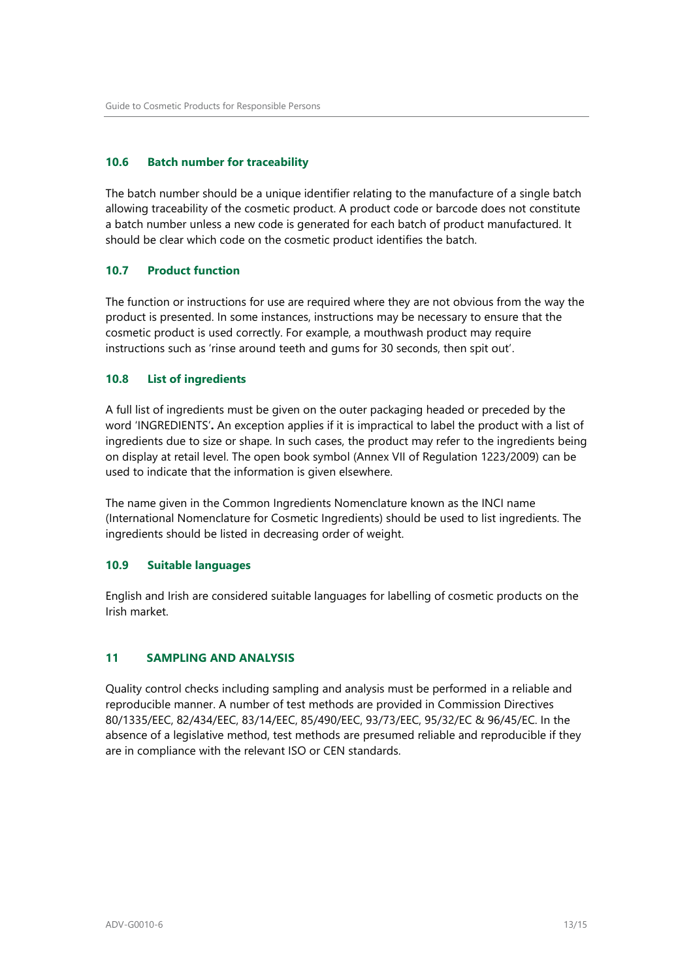#### <span id="page-12-0"></span>**10.6 Batch number for traceability**

The batch number should be a unique identifier relating to the manufacture of a single batch allowing traceability of the cosmetic product. A product code or barcode does not constitute a batch number unless a new code is generated for each batch of product manufactured. It should be clear which code on the cosmetic product identifies the batch.

#### <span id="page-12-1"></span>**10.7 Product function**

The function or instructions for use are required where they are not obvious from the way the product is presented. In some instances, instructions may be necessary to ensure that the cosmetic product is used correctly. For example, a mouthwash product may require instructions such as 'rinse around teeth and gums for 30 seconds, then spit out'.

#### <span id="page-12-2"></span>**10.8 List of ingredients**

A full list of ingredients must be given on the outer packaging headed or preceded by the word 'INGREDIENTS'**.** An exception applies if it is impractical to label the product with a list of ingredients due to size or shape. In such cases, the product may refer to the ingredients being on display at retail level. The open book symbol (Annex VII of Regulation 1223/2009) can be used to indicate that the information is given elsewhere.

The name given in the Common Ingredients Nomenclature known as the INCI name (International Nomenclature for Cosmetic Ingredients) should be used to list ingredients. The ingredients should be listed in decreasing order of weight.

#### <span id="page-12-3"></span>**10.9 Suitable languages**

English and Irish are considered suitable languages for labelling of cosmetic products on the Irish market.

#### <span id="page-12-4"></span>**11 SAMPLING AND ANALYSIS**

Quality control checks including sampling and analysis must be performed in a reliable and reproducible manner. A number of test methods are provided in Commission Directives 80/1335/EEC, 82/434/EEC, 83/14/EEC, 85/490/EEC, 93/73/EEC, 95/32/EC & 96/45/EC. In the absence of a legislative method, test methods are presumed reliable and reproducible if they are in compliance with the relevant ISO or CEN standards.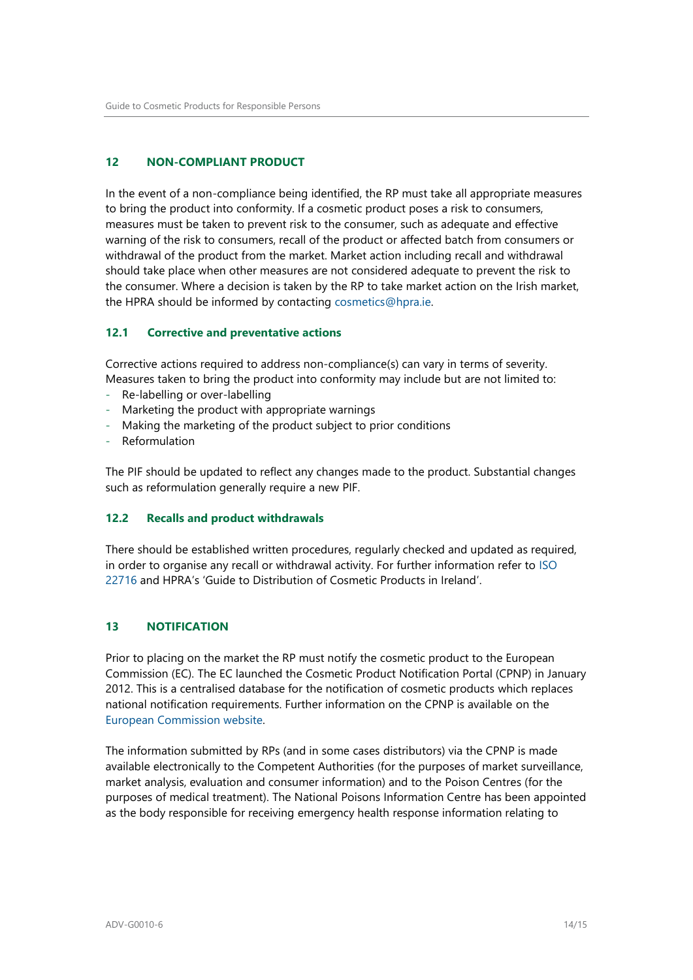#### <span id="page-13-0"></span>**12 NON-COMPLIANT PRODUCT**

In the event of a non-compliance being identified, the RP must take all appropriate measures to bring the product into conformity. If a cosmetic product poses a risk to consumers, measures must be taken to prevent risk to the consumer, such as adequate and effective warning of the risk to consumers, recall of the product or affected batch from consumers or withdrawal of the product from the market. Market action including recall and withdrawal should take place when other measures are not considered adequate to prevent the risk to the consumer. Where a decision is taken by the RP to take market action on the Irish market, the HPRA should be informed by contacting [cosmetics@hpra.ie.](mailto:cosmetics@hpra.ie)

#### <span id="page-13-1"></span>**12.1 Corrective and preventative actions**

Corrective actions required to address non-compliance(s) can vary in terms of severity. Measures taken to bring the product into conformity may include but are not limited to:

- Re-labelling or over-labelling
- Marketing the product with appropriate warnings
- Making the marketing of the product subject to prior conditions
- **Reformulation**

The PIF should be updated to reflect any changes made to the product. Substantial changes such as reformulation generally require a new PIF.

#### <span id="page-13-2"></span>**12.2 Recalls and product withdrawals**

There should be established written procedures, regularly checked and updated as required, in order to organise any recall or withdrawal activity. For further information refer to [ISO](http://www.iso.org/iso/catalogue_detail?csnumber=36437)  [22716](http://www.iso.org/iso/catalogue_detail?csnumber=36437) and HPRA's 'Guide to Distribution of Cosmetic Products in Ireland'.

#### <span id="page-13-3"></span>**13 NOTIFICATION**

Prior to placing on the market the RP must notify the cosmetic product to the European Commission (EC). The EC launched the Cosmetic Product Notification Portal (CPNP) in January 2012. This is a centralised database for the notification of cosmetic products which replaces national notification requirements. Further information on the CPNP is available on the [European Commission website.](http://ec.europa.eu/consumers/sectors/cosmetics/files/pdf/cpnp_new_en.pdf)

The information submitted by RPs (and in some cases distributors) via the CPNP is made available electronically to the Competent Authorities (for the purposes of market surveillance, market analysis, evaluation and consumer information) and to the Poison Centres (for the purposes of medical treatment). The National Poisons Information Centre has been appointed as the body responsible for receiving emergency health response information relating to